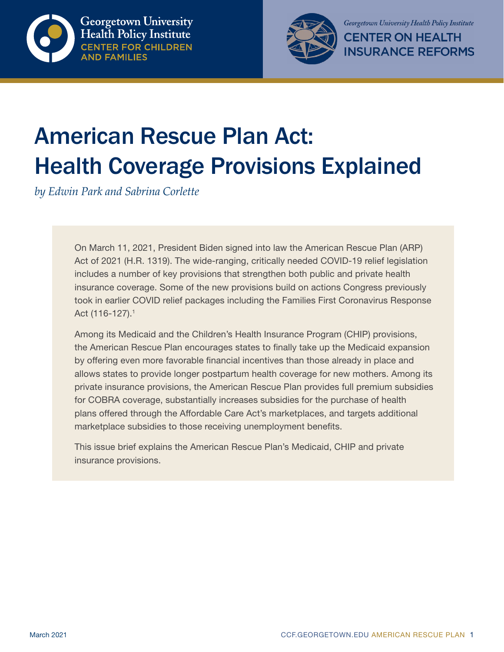



# American Rescue Plan Act: Health Coverage Provisions Explained

*by Edwin Park and Sabrina Corlette* 

On March 11, 2021, President Biden signed into law the American Rescue Plan (ARP) Act of 2021 (H.R. 1319). The wide-ranging, critically needed COVID-19 relief legislation includes a number of key provisions that strengthen both public and private health insurance coverage. Some of the new provisions build on actions Congress previously took in earlier COVID relief packages including the Families First Coronavirus Response Act (116-127).1

Among its Medicaid and the Children's Health Insurance Program (CHIP) provisions, the American Rescue Plan encourages states to finally take up the Medicaid expansion by offering even more favorable financial incentives than those already in place and allows states to provide longer postpartum health coverage for new mothers. Among its private insurance provisions, the American Rescue Plan provides full premium subsidies for COBRA coverage, substantially increases subsidies for the purchase of health plans offered through the Affordable Care Act's marketplaces, and targets additional marketplace subsidies to those receiving unemployment benefits.

This issue brief explains the American Rescue Plan's Medicaid, CHIP and private insurance provisions.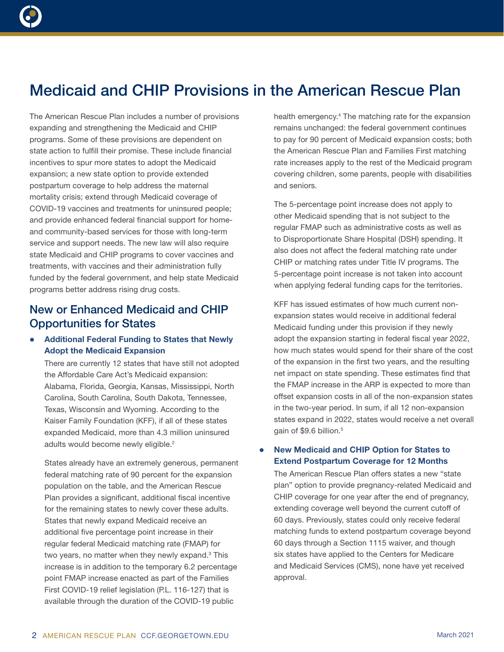# Medicaid and CHIP Provisions in the American Rescue Plan

The American Rescue Plan includes a number of provisions expanding and strengthening the Medicaid and CHIP programs. Some of these provisions are dependent on state action to fulfill their promise. These include financial incentives to spur more states to adopt the Medicaid expansion; a new state option to provide extended postpartum coverage to help address the maternal mortality crisis; extend through Medicaid coverage of COVID-19 vaccines and treatments for uninsured people; and provide enhanced federal financial support for homeand community-based services for those with long-term service and support needs. The new law will also require state Medicaid and CHIP programs to cover vaccines and treatments, with vaccines and their administration fully funded by the federal government, and help state Medicaid programs better address rising drug costs.

# New or Enhanced Medicaid and CHIP Opportunities for States

## Additional Federal Funding to States that Newly Adopt the Medicaid Expansion

There are currently 12 states that have still not adopted the Affordable Care Act's Medicaid expansion: Alabama, Florida, Georgia, Kansas, Mississippi, North Carolina, South Carolina, South Dakota, Tennessee, Texas, Wisconsin and Wyoming. According to the Kaiser Family Foundation (KFF), if all of these states expanded Medicaid, more than 4.3 million uninsured adults would become newly eligible.<sup>2</sup>

States already have an extremely generous, permanent federal matching rate of 90 percent for the expansion population on the table, and the American Rescue Plan provides a significant, additional fiscal incentive for the remaining states to newly cover these adults. States that newly expand Medicaid receive an additional five percentage point increase in their regular federal Medicaid matching rate (FMAP) for two years, no matter when they newly expand.<sup>3</sup> This increase is in addition to the temporary 6.2 percentage point FMAP increase enacted as part of the Families First COVID-19 relief legislation (P.L. 116-127) that is available through the duration of the COVID-19 public

health emergency.<sup>4</sup> The matching rate for the expansion remains unchanged: the federal government continues to pay for 90 percent of Medicaid expansion costs; both the American Rescue Plan and Families First matching rate increases apply to the rest of the Medicaid program covering children, some parents, people with disabilities and seniors.

The 5-percentage point increase does not apply to other Medicaid spending that is not subject to the regular FMAP such as administrative costs as well as to Disproportionate Share Hospital (DSH) spending. It also does not affect the federal matching rate under CHIP or matching rates under Title IV programs. The 5-percentage point increase is not taken into account when applying federal funding caps for the territories.

KFF has issued estimates of how much current nonexpansion states would receive in additional federal Medicaid funding under this provision if they newly adopt the expansion starting in federal fiscal year 2022, how much states would spend for their share of the cost of the expansion in the first two years, and the resulting net impact on state spending. These estimates find that the FMAP increase in the ARP is expected to more than offset expansion costs in all of the non-expansion states in the two-year period. In sum, if all 12 non-expansion states expand in 2022, states would receive a net overall gain of \$9.6 billion.<sup>5</sup>

#### New Medicaid and CHIP Option for States to Extend Postpartum Coverage for 12 Months

The American Rescue Plan offers states a new "state plan" option to provide pregnancy-related Medicaid and CHIP coverage for one year after the end of pregnancy, extending coverage well beyond the current cutoff of 60 days. Previously, states could only receive federal matching funds to extend postpartum coverage beyond 60 days through a Section 1115 waiver, and though six states have applied to the Centers for Medicare and Medicaid Services (CMS), none have yet received approval.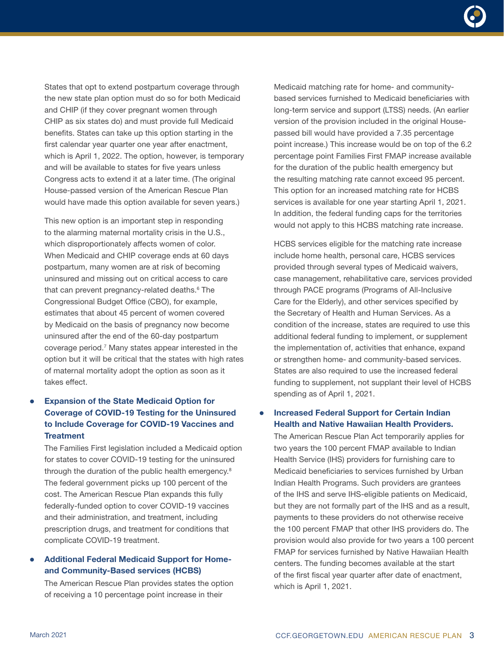States that opt to extend postpartum coverage through the new state plan option must do so for both Medicaid and CHIP (if they cover pregnant women through CHIP as six states do) and must provide full Medicaid benefits. States can take up this option starting in the first calendar year quarter one year after enactment, which is April 1, 2022. The option, however, is temporary and will be available to states for five years unless Congress acts to extend it at a later time. (The original House-passed version of the American Rescue Plan would have made this option available for seven years.)

This new option is an important step in responding to the alarming maternal mortality crisis in the U.S., which disproportionately affects women of color. When Medicaid and CHIP coverage ends at 60 days postpartum, many women are at risk of becoming uninsured and missing out on critical access to care that can prevent pregnancy-related deaths.<sup>6</sup> The Congressional Budget Office (CBO), for example, estimates that about 45 percent of women covered by Medicaid on the basis of pregnancy now become uninsured after the end of the 60-day postpartum coverage period.7 Many states appear interested in the option but it will be critical that the states with high rates of maternal mortality adopt the option as soon as it takes effect.

# **Expansion of the State Medicaid Option for** Coverage of COVID-19 Testing for the Uninsured to Include Coverage for COVID-19 Vaccines and **Treatment**

The Families First legislation included a Medicaid option for states to cover COVID-19 testing for the uninsured through the duration of the public health emergency.8 The federal government picks up 100 percent of the cost. The American Rescue Plan expands this fully federally-funded option to cover COVID-19 vaccines and their administration, and treatment, including prescription drugs, and treatment for conditions that complicate COVID-19 treatment.

### Additional Federal Medicaid Support for Homeand Community-Based services (HCBS)

The American Rescue Plan provides states the option of receiving a 10 percentage point increase in their

Medicaid matching rate for home- and communitybased services furnished to Medicaid beneficiaries with long-term service and support (LTSS) needs. (An earlier version of the provision included in the original Housepassed bill would have provided a 7.35 percentage point increase.) This increase would be on top of the 6.2 percentage point Families First FMAP increase available for the duration of the public health emergency but the resulting matching rate cannot exceed 95 percent. This option for an increased matching rate for HCBS services is available for one year starting April 1, 2021. In addition, the federal funding caps for the territories would not apply to this HCBS matching rate increase.

HCBS services eligible for the matching rate increase include home health, personal care, HCBS services provided through several types of Medicaid waivers, case management, rehabilitative care, services provided through PACE programs (Programs of All-Inclusive Care for the Elderly), and other services specified by the Secretary of Health and Human Services. As a condition of the increase, states are required to use this additional federal funding to implement, or supplement the implementation of, activities that enhance, expand or strengthen home- and community-based services. States are also required to use the increased federal funding to supplement, not supplant their level of HCBS spending as of April 1, 2021.

#### **Increased Federal Support for Certain Indian** Health and Native Hawaiian Health Providers.

The American Rescue Plan Act temporarily applies for two years the 100 percent FMAP available to Indian Health Service (IHS) providers for furnishing care to Medicaid beneficiaries to services furnished by Urban Indian Health Programs. Such providers are grantees of the IHS and serve IHS-eligible patients on Medicaid, but they are not formally part of the IHS and as a result, payments to these providers do not otherwise receive the 100 percent FMAP that other IHS providers do. The provision would also provide for two years a 100 percent FMAP for services furnished by Native Hawaiian Health centers. The funding becomes available at the start of the first fiscal year quarter after date of enactment, which is April 1, 2021.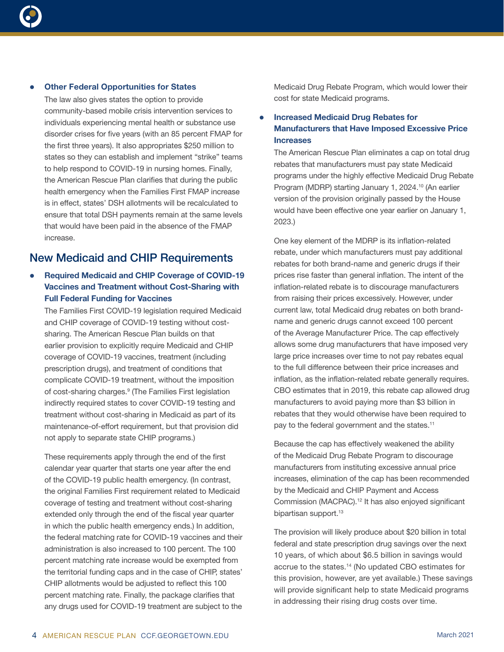

#### **Other Federal Opportunities for States**

The law also gives states the option to provide community-based mobile crisis intervention services to individuals experiencing mental health or substance use disorder crises for five years (with an 85 percent FMAP for the first three years). It also appropriates \$250 million to states so they can establish and implement "strike" teams to help respond to COVID-19 in nursing homes. Finally, the American Rescue Plan clarifies that during the public health emergency when the Families First FMAP increase is in effect, states' DSH allotments will be recalculated to ensure that total DSH payments remain at the same levels that would have been paid in the absence of the FMAP increase.

# New Medicaid and CHIP Requirements

### Required Medicaid and CHIP Coverage of COVID-19 Vaccines and Treatment without Cost-Sharing with Full Federal Funding for Vaccines

The Families First COVID-19 legislation required Medicaid and CHIP coverage of COVID-19 testing without costsharing. The American Rescue Plan builds on that earlier provision to explicitly require Medicaid and CHIP coverage of COVID-19 vaccines, treatment (including prescription drugs), and treatment of conditions that complicate COVID-19 treatment, without the imposition of cost-sharing charges.<sup>9</sup> (The Families First legislation indirectly required states to cover COVID-19 testing and treatment without cost-sharing in Medicaid as part of its maintenance-of-effort requirement, but that provision did not apply to separate state CHIP programs.)

These requirements apply through the end of the first calendar year quarter that starts one year after the end of the COVID-19 public health emergency. (In contrast, the original Families First requirement related to Medicaid coverage of testing and treatment without cost-sharing extended only through the end of the fiscal year quarter in which the public health emergency ends.) In addition, the federal matching rate for COVID-19 vaccines and their administration is also increased to 100 percent. The 100 percent matching rate increase would be exempted from the territorial funding caps and in the case of CHIP, states' CHIP allotments would be adjusted to reflect this 100 percent matching rate. Finally, the package clarifies that any drugs used for COVID-19 treatment are subject to the

Medicaid Drug Rebate Program, which would lower their cost for state Medicaid programs.

**Increased Medicaid Drug Rebates for** Manufacturers that Have Imposed Excessive Price **Increases** 

The American Rescue Plan eliminates a cap on total drug rebates that manufacturers must pay state Medicaid programs under the highly effective Medicaid Drug Rebate Program (MDRP) starting January 1, 2024.<sup>10</sup> (An earlier version of the provision originally passed by the House would have been effective one year earlier on January 1, 2023.)

One key element of the MDRP is its inflation-related rebate, under which manufacturers must pay additional rebates for both brand-name and generic drugs if their prices rise faster than general inflation. The intent of the inflation-related rebate is to discourage manufacturers from raising their prices excessively. However, under current law, total Medicaid drug rebates on both brandname and generic drugs cannot exceed 100 percent of the Average Manufacturer Price. The cap effectively allows some drug manufacturers that have imposed very large price increases over time to not pay rebates equal to the full difference between their price increases and inflation, as the inflation-related rebate generally requires. CBO estimates that in 2019, this rebate cap allowed drug manufacturers to avoid paying more than \$3 billion in rebates that they would otherwise have been required to pay to the federal government and the states.<sup>11</sup>

Because the cap has effectively weakened the ability of the Medicaid Drug Rebate Program to discourage manufacturers from instituting excessive annual price increases, elimination of the cap has been recommended by the Medicaid and CHIP Payment and Access Commission (MACPAC).12 It has also enjoyed significant bipartisan support.<sup>13</sup>

The provision will likely produce about \$20 billion in total federal and state prescription drug savings over the next 10 years, of which about \$6.5 billion in savings would accrue to the states.14 (No updated CBO estimates for this provision, however, are yet available.) These savings will provide significant help to state Medicaid programs in addressing their rising drug costs over time.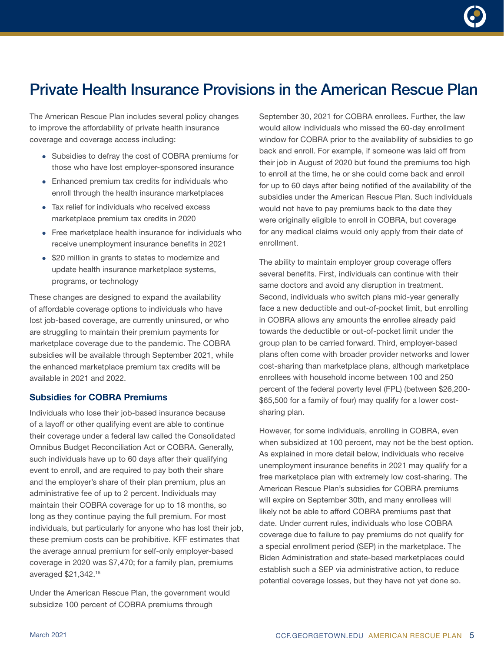# Private Health Insurance Provisions in the American Rescue Plan

The American Rescue Plan includes several policy changes to improve the affordability of private health insurance coverage and coverage access including:

- Subsidies to defray the cost of COBRA premiums for those who have lost employer-sponsored insurance
- Enhanced premium tax credits for individuals who enroll through the health insurance marketplaces
- Tax relief for individuals who received excess marketplace premium tax credits in 2020
- $\bullet$  Free marketplace health insurance for individuals who receive unemployment insurance benefits in 2021
- \$20 million in grants to states to modernize and update health insurance marketplace systems, programs, or technology

These changes are designed to expand the availability of affordable coverage options to individuals who have lost job-based coverage, are currently uninsured, or who are struggling to maintain their premium payments for marketplace coverage due to the pandemic. The COBRA subsidies will be available through September 2021, while the enhanced marketplace premium tax credits will be available in 2021 and 2022.

#### Subsidies for COBRA Premiums

Individuals who lose their job-based insurance because of a layoff or other qualifying event are able to continue their coverage under a federal law called the Consolidated Omnibus Budget Reconciliation Act or COBRA. Generally, such individuals have up to 60 days after their qualifying event to enroll, and are required to pay both their share and the employer's share of their plan premium, plus an administrative fee of up to 2 percent. Individuals may maintain their COBRA coverage for up to 18 months, so long as they continue paying the full premium. For most individuals, but particularly for anyone who has lost their job, these premium costs can be prohibitive. KFF estimates that the average annual premium for self-only employer-based coverage in 2020 was \$7,470; for a family plan, premiums averaged \$21,342.15

Under the American Rescue Plan, the government would subsidize 100 percent of COBRA premiums through

September 30, 2021 for COBRA enrollees. Further, the law would allow individuals who missed the 60-day enrollment window for COBRA prior to the availability of subsidies to go back and enroll. For example, if someone was laid off from their job in August of 2020 but found the premiums too high to enroll at the time, he or she could come back and enroll for up to 60 days after being notified of the availability of the subsidies under the American Rescue Plan. Such individuals would not have to pay premiums back to the date they were originally eligible to enroll in COBRA, but coverage for any medical claims would only apply from their date of enrollment.

The ability to maintain employer group coverage offers several benefits. First, individuals can continue with their same doctors and avoid any disruption in treatment. Second, individuals who switch plans mid-year generally face a new deductible and out-of-pocket limit, but enrolling in COBRA allows any amounts the enrollee already paid towards the deductible or out-of-pocket limit under the group plan to be carried forward. Third, employer-based plans often come with broader provider networks and lower cost-sharing than marketplace plans, although marketplace enrollees with household income between 100 and 250 percent of the federal poverty level (FPL) (between \$26,200- \$65,500 for a family of four) may qualify for a lower costsharing plan.

However, for some individuals, enrolling in COBRA, even when subsidized at 100 percent, may not be the best option. As explained in more detail below, individuals who receive unemployment insurance benefits in 2021 may qualify for a free marketplace plan with extremely low cost-sharing. The American Rescue Plan's subsidies for COBRA premiums will expire on September 30th, and many enrollees will likely not be able to afford COBRA premiums past that date. Under current rules, individuals who lose COBRA coverage due to failure to pay premiums do not qualify for a special enrollment period (SEP) in the marketplace. The Biden Administration and state-based marketplaces could establish such a SEP via administrative action, to reduce potential coverage losses, but they have not yet done so.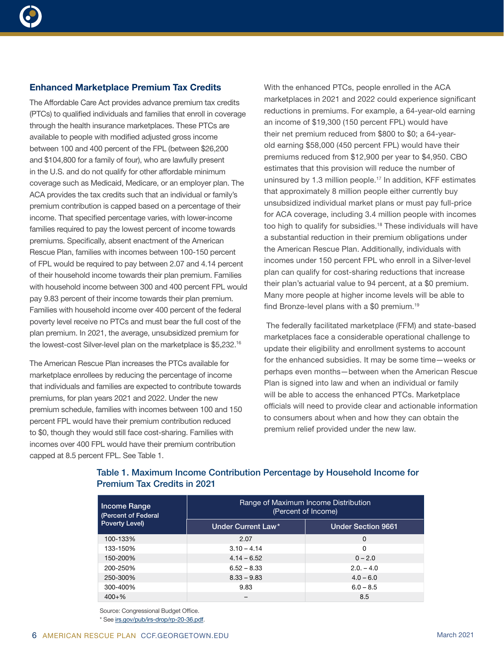

#### Enhanced Marketplace Premium Tax Credits

The Affordable Care Act provides advance premium tax credits (PTCs) to qualified individuals and families that enroll in coverage through the health insurance marketplaces. These PTCs are available to people with modified adjusted gross income between 100 and 400 percent of the FPL (between \$26,200 and \$104,800 for a family of four), who are lawfully present in the U.S. and do not qualify for other affordable minimum coverage such as Medicaid, Medicare, or an employer plan. The ACA provides the tax credits such that an individual or family's premium contribution is capped based on a percentage of their income. That specified percentage varies, with lower-income families required to pay the lowest percent of income towards premiums. Specifically, absent enactment of the American Rescue Plan, families with incomes between 100-150 percent of FPL would be required to pay between 2.07 and 4.14 percent of their household income towards their plan premium. Families with household income between 300 and 400 percent FPL would pay 9.83 percent of their income towards their plan premium. Families with household income over 400 percent of the federal poverty level receive no PTCs and must bear the full cost of the plan premium. In 2021, the average, unsubsidized premium for the lowest-cost Silver-level plan on the marketplace is \$5,232.16

The American Rescue Plan increases the PTCs available for marketplace enrollees by reducing the percentage of income that individuals and families are expected to contribute towards premiums, for plan years 2021 and 2022. Under the new premium schedule, families with incomes between 100 and 150 percent FPL would have their premium contribution reduced to \$0, though they would still face cost-sharing. Families with incomes over 400 FPL would have their premium contribution capped at 8.5 percent FPL. See Table 1.

With the enhanced PTCs, people enrolled in the ACA marketplaces in 2021 and 2022 could experience significant reductions in premiums. For example, a 64-year-old earning an income of \$19,300 (150 percent FPL) would have their net premium reduced from \$800 to \$0; a 64-yearold earning \$58,000 (450 percent FPL) would have their premiums reduced from \$12,900 per year to \$4,950. CBO estimates that this provision will reduce the number of uninsured by 1.3 million people.17 In addition, KFF estimates that approximately 8 million people either currently buy unsubsidized individual market plans or must pay full-price for ACA coverage, including 3.4 million people with incomes too high to qualify for subsidies.<sup>18</sup> These individuals will have a substantial reduction in their premium obligations under the American Rescue Plan. Additionally, individuals with incomes under 150 percent FPL who enroll in a Silver-level plan can qualify for cost-sharing reductions that increase their plan's actuarial value to 94 percent, at a \$0 premium. Many more people at higher income levels will be able to find Bronze-level plans with a \$0 premium.19

 The federally facilitated marketplace (FFM) and state-based marketplaces face a considerable operational challenge to update their eligibility and enrollment systems to account for the enhanced subsidies. It may be some time—weeks or perhaps even months—between when the American Rescue Plan is signed into law and when an individual or family will be able to access the enhanced PTCs. Marketplace officials will need to provide clear and actionable information to consumers about when and how they can obtain the premium relief provided under the new law.

| <b>Income Range</b><br>(Percent of Federal<br>Poverty Level) | Range of Maximum Income Distribution<br>(Percent of Income) |                           |
|--------------------------------------------------------------|-------------------------------------------------------------|---------------------------|
|                                                              | Under Current Law*                                          | <b>Under Section 9661</b> |
| 100-133%                                                     | 2.07                                                        | 0                         |
| 133-150%                                                     | $3.10 - 4.14$                                               | $\Omega$                  |
| 150-200%                                                     | $4.14 - 6.52$                                               | $0 - 2.0$                 |
| 200-250%                                                     | $6.52 - 8.33$                                               | $2.0 - 4.0$               |
| 250-300%                                                     | $8.33 - 9.83$                                               | $4.0 - 6.0$               |
| 300-400%                                                     | 9.83                                                        | $6.0 - 8.5$               |
| $400 + \%$                                                   |                                                             | 8.5                       |

## Table 1. Maximum Income Contribution Percentage by Household Income for Premium Tax Credits in 2021

Source: Congressional Budget Office. \* See<irs.gov/pub/irs-drop/rp-20-36.pdf>.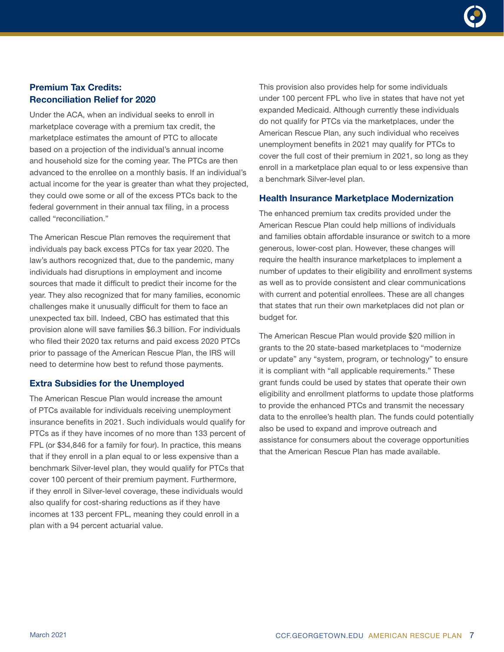# Premium Tax Credits: Reconciliation Relief for 2020

Under the ACA, when an individual seeks to enroll in marketplace coverage with a premium tax credit, the marketplace estimates the amount of PTC to allocate based on a projection of the individual's annual income and household size for the coming year. The PTCs are then advanced to the enrollee on a monthly basis. If an individual's actual income for the year is greater than what they projected, they could owe some or all of the excess PTCs back to the federal government in their annual tax filing, in a process called "reconciliation."

The American Rescue Plan removes the requirement that individuals pay back excess PTCs for tax year 2020. The law's authors recognized that, due to the pandemic, many individuals had disruptions in employment and income sources that made it difficult to predict their income for the year. They also recognized that for many families, economic challenges make it unusually difficult for them to face an unexpected tax bill. Indeed, CBO has estimated that this provision alone will save families \$6.3 billion. For individuals who filed their 2020 tax returns and paid excess 2020 PTCs prior to passage of the American Rescue Plan, the IRS will need to determine how best to refund those payments.

### Extra Subsidies for the Unemployed

The American Rescue Plan would increase the amount of PTCs available for individuals receiving unemployment insurance benefits in 2021. Such individuals would qualify for PTCs as if they have incomes of no more than 133 percent of FPL (or \$34,846 for a family for four). In practice, this means that if they enroll in a plan equal to or less expensive than a benchmark Silver-level plan, they would qualify for PTCs that cover 100 percent of their premium payment. Furthermore, if they enroll in Silver-level coverage, these individuals would also qualify for cost-sharing reductions as if they have incomes at 133 percent FPL, meaning they could enroll in a plan with a 94 percent actuarial value.

This provision also provides help for some individuals under 100 percent FPL who live in states that have not yet expanded Medicaid. Although currently these individuals do not qualify for PTCs via the marketplaces, under the American Rescue Plan, any such individual who receives unemployment benefits in 2021 may qualify for PTCs to cover the full cost of their premium in 2021, so long as they enroll in a marketplace plan equal to or less expensive than a benchmark Silver-level plan.

### Health Insurance Marketplace Modernization

The enhanced premium tax credits provided under the American Rescue Plan could help millions of individuals and families obtain affordable insurance or switch to a more generous, lower-cost plan. However, these changes will require the health insurance marketplaces to implement a number of updates to their eligibility and enrollment systems as well as to provide consistent and clear communications with current and potential enrollees. These are all changes that states that run their own marketplaces did not plan or budget for.

The American Rescue Plan would provide \$20 million in grants to the 20 state-based marketplaces to "modernize or update" any "system, program, or technology" to ensure it is compliant with "all applicable requirements." These grant funds could be used by states that operate their own eligibility and enrollment platforms to update those platforms to provide the enhanced PTCs and transmit the necessary data to the enrollee's health plan. The funds could potentially also be used to expand and improve outreach and assistance for consumers about the coverage opportunities that the American Rescue Plan has made available.